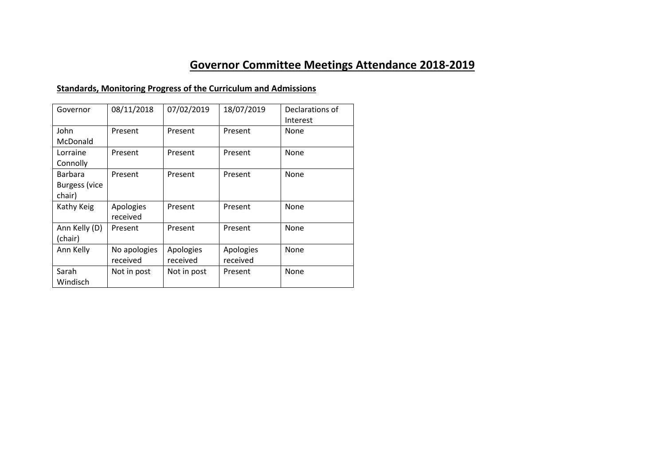# **Governor Committee Meetings Attendance 2018-2019**

## **Standards, Monitoring Progress of the Curriculum and Admissions**

| Governor             | 08/11/2018   | 07/02/2019  | 18/07/2019 | Declarations of |
|----------------------|--------------|-------------|------------|-----------------|
|                      |              |             |            | Interest        |
| John                 | Present      | Present     | Present    | None            |
| McDonald             |              |             |            |                 |
| Lorraine             | Present      | Present     | Present    | None            |
| Connolly             |              |             |            |                 |
| Barbara              | Present      | Present     | Present    | None            |
| <b>Burgess (vice</b> |              |             |            |                 |
| chair)               |              |             |            |                 |
| Kathy Keig           | Apologies    | Present     | Present    | None            |
|                      | received     |             |            |                 |
| Ann Kelly (D)        | Present      | Present     | Present    | None            |
| (chair)              |              |             |            |                 |
| Ann Kelly            | No apologies | Apologies   | Apologies  | None            |
|                      | received     | received    | received   |                 |
| Sarah                | Not in post  | Not in post | Present    | None            |
| Windisch             |              |             |            |                 |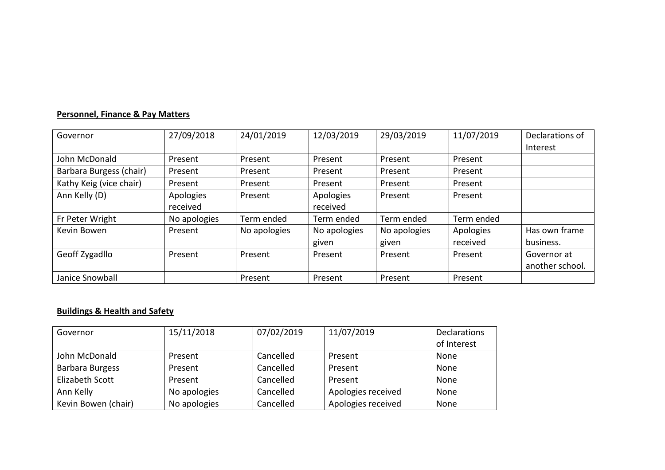### **Personnel, Finance & Pay Matters**

| Governor                | 27/09/2018   | 24/01/2019   | 12/03/2019   | 29/03/2019   | 11/07/2019 | Declarations of<br>Interest |
|-------------------------|--------------|--------------|--------------|--------------|------------|-----------------------------|
| John McDonald           | Present      | Present      | Present      | Present      | Present    |                             |
| Barbara Burgess (chair) | Present      | Present      | Present      | Present      | Present    |                             |
| Kathy Keig (vice chair) | Present      | Present      | Present      | Present      | Present    |                             |
| Ann Kelly (D)           | Apologies    | Present      | Apologies    | Present      | Present    |                             |
|                         | received     |              | received     |              |            |                             |
| Fr Peter Wright         | No apologies | Term ended   | Term ended   | Term ended   | Term ended |                             |
| Kevin Bowen             | Present      | No apologies | No apologies | No apologies | Apologies  | Has own frame               |
|                         |              |              | given        | given        | received   | business.                   |
| Geoff Zygadllo          | Present      | Present      | Present      | Present      | Present    | Governor at                 |
|                         |              |              |              |              |            | another school.             |
| Janice Snowball         |              | Present      | Present      | Present      | Present    |                             |

## **Buildings & Health and Safety**

| Governor            | 15/11/2018   | 07/02/2019 | 11/07/2019         | <b>Declarations</b> |
|---------------------|--------------|------------|--------------------|---------------------|
|                     |              |            |                    | of Interest         |
| John McDonald       | Present      | Cancelled  | Present            | None                |
| Barbara Burgess     | Present      | Cancelled  | Present            | None                |
| Elizabeth Scott     | Present      | Cancelled  | Present            | None                |
| Ann Kelly           | No apologies | Cancelled  | Apologies received | None                |
| Kevin Bowen (chair) | No apologies | Cancelled  | Apologies received | None                |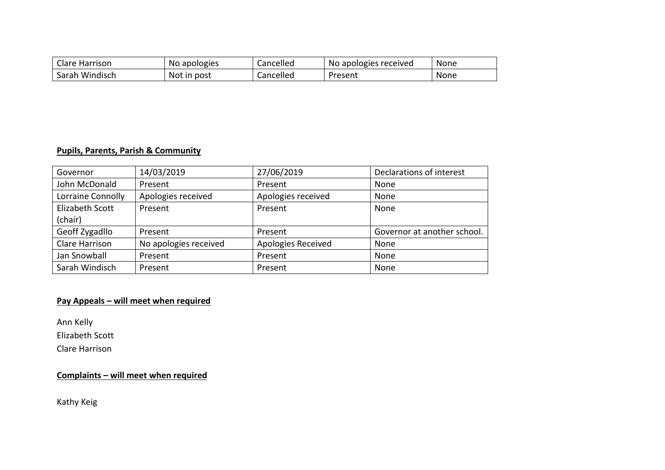| <b>Clare Harrison</b> | No apologies | Cancelled | No apologies received | <b>None</b> |
|-----------------------|--------------|-----------|-----------------------|-------------|
| Windisch<br>Sarah     | Not in post  | Cancelled | Present               | None        |

#### **Pupils, Parents, Parish & Community**

| Governor          | 14/03/2019            | 27/06/2019         | Declarations of interest    |
|-------------------|-----------------------|--------------------|-----------------------------|
| John McDonald     | Present               | Present            | None                        |
| Lorraine Connolly | Apologies received    | Apologies received | None                        |
| Elizabeth Scott   | Present               | Present            | None                        |
| (chair)           |                       |                    |                             |
| Geoff Zygadllo    | Present               | Present            | Governor at another school. |
| Clare Harrison    | No apologies received | Apologies Received | None                        |
| Jan Snowball      | Present               | Present            | None                        |
| Sarah Windisch    | Present               | Present            | None                        |

## **Pay Appeals – will meet when required**

Ann Kelly

Elizabeth Scott

Clare Harrison

## **Complaints – will meet when required**

Kathy Keig